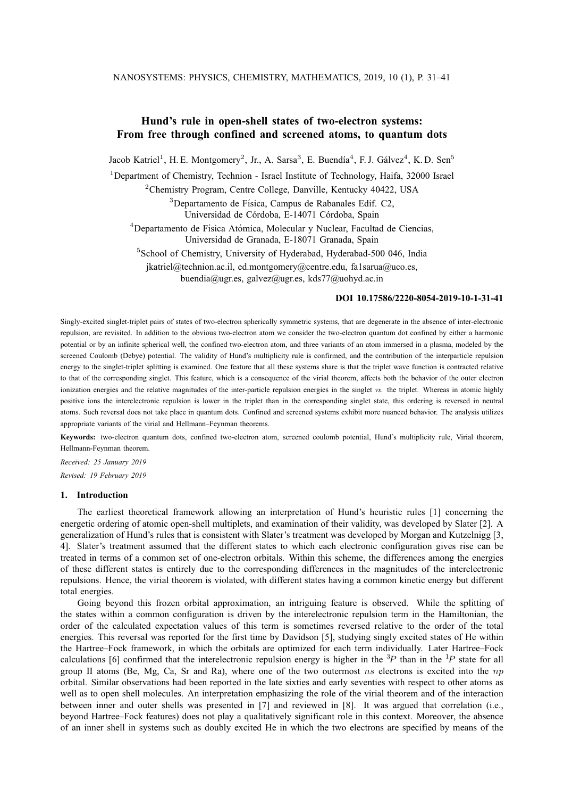# **Hund's rule in open-shell states of two-electron systems: From free through confined and screened atoms, to quantum dots**

Jacob Katriel<sup>1</sup>, H. E. Montgomery<sup>2</sup>, Jr., A. Sarsa<sup>3</sup>, E. Buendía<sup>4</sup>, F. J. Gálvez<sup>4</sup>, K. D. Sen<sup>5</sup>

<sup>1</sup>Department of Chemistry, Technion - Israel Institute of Technology, Haifa, 32000 Israel

<sup>2</sup>Chemistry Program, Centre College, Danville, Kentucky 40422, USA

 $3$ Departamento de Física, Campus de Rabanales Edif. C2, Universidad de Córdoba, E-14071 Córdoba, Spain

 $4$ Departamento de Física Atómica, Molecular y Nuclear, Facultad de Ciencias, Universidad de Granada, E-18071 Granada, Spain

<sup>5</sup>School of Chemistry, University of Hyderabad, Hyderabad-500 046, India

jkatriel@technion.ac.il, ed.montgomery@centre.edu, fa1sarua@uco.es,

buendia@ugr.es, galvez@ugr.es, kds77@uohyd.ac.in

### **DOI 10.17586/2220-8054-2019-10-1-31-41**

Singly-excited singlet-triplet pairs of states of two-electron spherically symmetric systems, that are degenerate in the absence of inter-electronic repulsion, are revisited. In addition to the obvious two-electron atom we consider the two-electron quantum dot confined by either a harmonic potential or by an infinite spherical well, the confined two-electron atom, and three variants of an atom immersed in a plasma, modeled by the screened Coulomb (Debye) potential. The validity of Hund's multiplicity rule is confirmed, and the contribution of the interparticle repulsion energy to the singlet-triplet splitting is examined. One feature that all these systems share is that the triplet wave function is contracted relative to that of the corresponding singlet. This feature, which is a consequence of the virial theorem, affects both the behavior of the outer electron ionization energies and the relative magnitudes of the inter-particle repulsion energies in the singlet *vs.* the triplet. Whereas in atomic highly positive ions the interelectronic repulsion is lower in the triplet than in the corresponding singlet state, this ordering is reversed in neutral atoms. Such reversal does not take place in quantum dots. Confined and screened systems exhibit more nuanced behavior. The analysis utilizes appropriate variants of the virial and Hellmann–Feynman theorems.

**Keywords:** two-electron quantum dots, confined two-electron atom, screened coulomb potential, Hund's multiplicity rule, Virial theorem, Hellmann-Feynman theorem.

*Received: 25 January 2019 Revised: 19 February 2019*

#### **1. Introduction**

The earliest theoretical framework allowing an interpretation of Hund's heuristic rules [1] concerning the energetic ordering of atomic open-shell multiplets, and examination of their validity, was developed by Slater [2]. A generalization of Hund's rules that is consistent with Slater's treatment was developed by Morgan and Kutzelnigg [3, 4]. Slater's treatment assumed that the different states to which each electronic configuration gives rise can be treated in terms of a common set of one-electron orbitals. Within this scheme, the differences among the energies of these different states is entirely due to the corresponding differences in the magnitudes of the interelectronic repulsions. Hence, the virial theorem is violated, with different states having a common kinetic energy but different total energies.

Going beyond this frozen orbital approximation, an intriguing feature is observed. While the splitting of the states within a common configuration is driven by the interelectronic repulsion term in the Hamiltonian, the order of the calculated expectation values of this term is sometimes reversed relative to the order of the total energies. This reversal was reported for the first time by Davidson [5], studying singly excited states of He within the Hartree–Fock framework, in which the orbitals are optimized for each term individually. Later Hartree–Fock calculations [6] confirmed that the interelectronic repulsion energy is higher in the  ${}^{3}P$  than in the  ${}^{1}P$  state for all group II atoms (Be, Mg, Ca, Sr and Ra), where one of the two outermost  $ns$  electrons is excited into the  $np$ orbital. Similar observations had been reported in the late sixties and early seventies with respect to other atoms as well as to open shell molecules. An interpretation emphasizing the role of the virial theorem and of the interaction between inner and outer shells was presented in [7] and reviewed in [8]. It was argued that correlation (i.e., beyond Hartree–Fock features) does not play a qualitatively significant role in this context. Moreover, the absence of an inner shell in systems such as doubly excited He in which the two electrons are specified by means of the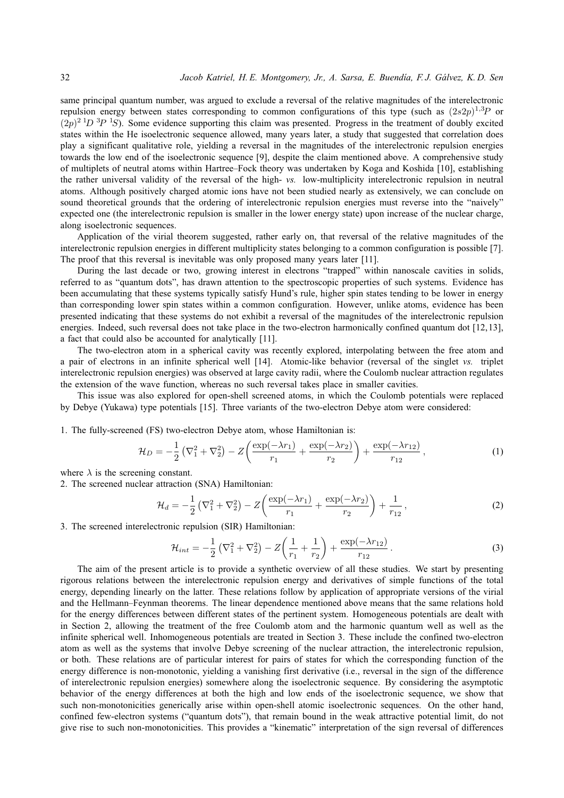same principal quantum number, was argued to exclude a reversal of the relative magnitudes of the interelectronic repulsion energy between states corresponding to common configurations of this type (such as  $(2s2p)^{1,3}P$  or  $(2p)^{2}$   $1D$   $3P$   $1S$ ). Some evidence supporting this claim was presented. Progress in the treatment of doubly excited states within the He isoelectronic sequence allowed, many years later, a study that suggested that correlation does play a significant qualitative role, yielding a reversal in the magnitudes of the interelectronic repulsion energies towards the low end of the isoelectronic sequence [9], despite the claim mentioned above. A comprehensive study of multiplets of neutral atoms within Hartree–Fock theory was undertaken by Koga and Koshida [10], establishing the rather universal validity of the reversal of the high- *vs.* low-multiplicity interelectronic repulsion in neutral atoms. Although positively charged atomic ions have not been studied nearly as extensively, we can conclude on sound theoretical grounds that the ordering of interelectronic repulsion energies must reverse into the "naively" expected one (the interelectronic repulsion is smaller in the lower energy state) upon increase of the nuclear charge, along isoelectronic sequences.

Application of the virial theorem suggested, rather early on, that reversal of the relative magnitudes of the interelectronic repulsion energies in different multiplicity states belonging to a common configuration is possible [7]. The proof that this reversal is inevitable was only proposed many years later [11].

During the last decade or two, growing interest in electrons "trapped" within nanoscale cavities in solids, referred to as "quantum dots", has drawn attention to the spectroscopic properties of such systems. Evidence has been accumulating that these systems typically satisfy Hund's rule, higher spin states tending to be lower in energy than corresponding lower spin states within a common configuration. However, unlike atoms, evidence has been presented indicating that these systems do not exhibit a reversal of the magnitudes of the interelectronic repulsion energies. Indeed, such reversal does not take place in the two-electron harmonically confined quantum dot [12,13], a fact that could also be accounted for analytically [11].

The two-electron atom in a spherical cavity was recently explored, interpolating between the free atom and a pair of electrons in an infinite spherical well [14]. Atomic-like behavior (reversal of the singlet *vs.* triplet interelectronic repulsion energies) was observed at large cavity radii, where the Coulomb nuclear attraction regulates the extension of the wave function, whereas no such reversal takes place in smaller cavities.

This issue was also explored for open-shell screened atoms, in which the Coulomb potentials were replaced by Debye (Yukawa) type potentials [15]. Three variants of the two-electron Debye atom were considered:

1. The fully-screened (FS) two-electron Debye atom, whose Hamiltonian is:

$$
\mathcal{H}_D = -\frac{1}{2} \left( \nabla_1^2 + \nabla_2^2 \right) - Z \left( \frac{\exp(-\lambda r_1)}{r_1} + \frac{\exp(-\lambda r_2)}{r_2} \right) + \frac{\exp(-\lambda r_{12})}{r_{12}},\tag{1}
$$

where  $\lambda$  is the screening constant.

2. The screened nuclear attraction (SNA) Hamiltonian:

$$
\mathcal{H}_d = -\frac{1}{2} \left( \nabla_1^2 + \nabla_2^2 \right) - Z \left( \frac{\exp(-\lambda r_1)}{r_1} + \frac{\exp(-\lambda r_2)}{r_2} \right) + \frac{1}{r_{12}},\tag{2}
$$

3. The screened interelectronic repulsion (SIR) Hamiltonian:

$$
\mathcal{H}_{int} = -\frac{1}{2} \left( \nabla_1^2 + \nabla_2^2 \right) - Z \left( \frac{1}{r_1} + \frac{1}{r_2} \right) + \frac{\exp(-\lambda r_{12})}{r_{12}}.
$$
\n(3)

The aim of the present article is to provide a synthetic overview of all these studies. We start by presenting rigorous relations between the interelectronic repulsion energy and derivatives of simple functions of the total energy, depending linearly on the latter. These relations follow by application of appropriate versions of the virial and the Hellmann–Feynman theorems. The linear dependence mentioned above means that the same relations hold for the energy differences between different states of the pertinent system. Homogeneous potentials are dealt with in Section 2, allowing the treatment of the free Coulomb atom and the harmonic quantum well as well as the infinite spherical well. Inhomogeneous potentials are treated in Section 3. These include the confined two-electron atom as well as the systems that involve Debye screening of the nuclear attraction, the interelectronic repulsion, or both. These relations are of particular interest for pairs of states for which the corresponding function of the energy difference is non-monotonic, yielding a vanishing first derivative (i.e., reversal in the sign of the difference of interelectronic repulsion energies) somewhere along the isoelectronic sequence. By considering the asymptotic behavior of the energy differences at both the high and low ends of the isoelectronic sequence, we show that such non-monotonicities generically arise within open-shell atomic isoelectronic sequences. On the other hand, confined few-electron systems ("quantum dots"), that remain bound in the weak attractive potential limit, do not give rise to such non-monotonicities. This provides a "kinematic" interpretation of the sign reversal of differences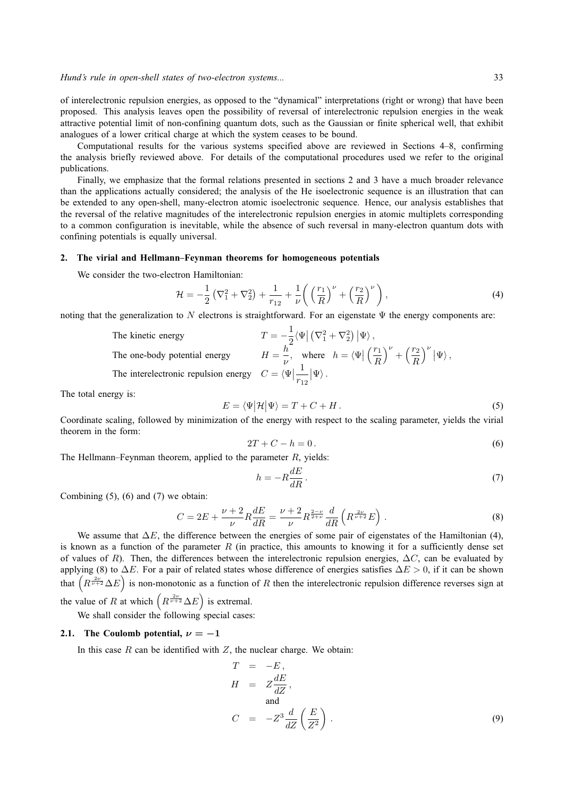of interelectronic repulsion energies, as opposed to the "dynamical" interpretations (right or wrong) that have been proposed. This analysis leaves open the possibility of reversal of interelectronic repulsion energies in the weak attractive potential limit of non-confining quantum dots, such as the Gaussian or finite spherical well, that exhibit analogues of a lower critical charge at which the system ceases to be bound.

Computational results for the various systems specified above are reviewed in Sections 4–8, confirming the analysis briefly reviewed above. For details of the computational procedures used we refer to the original publications.

Finally, we emphasize that the formal relations presented in sections 2 and 3 have a much broader relevance than the applications actually considered; the analysis of the He isoelectronic sequence is an illustration that can be extended to any open-shell, many-electron atomic isoelectronic sequence. Hence, our analysis establishes that the reversal of the relative magnitudes of the interelectronic repulsion energies in atomic multiplets corresponding to a common configuration is inevitable, while the absence of such reversal in many-electron quantum dots with confining potentials is equally universal.

#### **2. The virial and Hellmann–Feynman theorems for homogeneous potentials**

We consider the two-electron Hamiltonian:

$$
\mathcal{H} = -\frac{1}{2} \left( \nabla_1^2 + \nabla_2^2 \right) + \frac{1}{r_{12}} + \frac{1}{\nu} \left( \left( \frac{r_1}{R} \right)^{\nu} + \left( \frac{r_2}{R} \right)^{\nu} \right),\tag{4}
$$

noting that the generalization to N electrons is straightforward. For an eigenstate  $\Psi$  the energy components are:

The kinetic energy  
\nThe one-body potential energy  
\nThe interelectronic repulsion energy  
\n
$$
T = -\frac{1}{2} \langle \Psi | (\nabla_1^2 + \nabla_2^2) | \Psi \rangle,
$$
\nwhere  $h = \langle \Psi | \left( \frac{r_1}{R} \right)^{\nu} + \left( \frac{r_2}{R} \right)^{\nu} | \Psi \rangle$ ,  
\nThe interelectronic repulsion energy  
\n
$$
C = \langle \Psi | \frac{1}{r_{12}} | \Psi \rangle.
$$

The total energy is:

$$
E = \langle \Psi | \mathcal{H} | \Psi \rangle = T + C + H. \tag{5}
$$

Coordinate scaling, followed by minimization of the energy with respect to the scaling parameter, yields the virial theorem in the form:

$$
2T + C - h = 0.
$$
\n<sup>(6)</sup>

The Hellmann–Feynman theorem, applied to the parameter  $R$ , yields:

$$
h = -R\frac{dE}{dR}.\tag{7}
$$

Combining  $(5)$ ,  $(6)$  and  $(7)$  we obtain:

$$
C = 2E + \frac{\nu + 2}{\nu} R \frac{dE}{dR} = \frac{\nu + 2}{\nu} R^{\frac{2-\nu}{2+\nu}} \frac{d}{dR} \left( R^{\frac{2\nu}{\nu+2}} E \right) . \tag{8}
$$

We assume that  $\Delta E$ , the difference between the energies of some pair of eigenstates of the Hamiltonian (4), is known as a function of the parameter  $R$  (in practice, this amounts to knowing it for a sufficiently dense set of values of R). Then, the differences between the interelectronic repulsion energies,  $\Delta C$ , can be evaluated by applying (8) to  $\Delta E$ . For a pair of related states whose difference of energies satisfies  $\Delta E > 0$ , if it can be shown that  $(R^{\frac{2\nu}{\nu+2}}\Delta E)$  is non-monotonic as a function of R then the interelectronic repulsion difference reverses sign at the value of R at which  $(R^{\frac{2\nu}{\nu+2}}\Delta E)$  is extremal.

We shall consider the following special cases:

#### **2.1.** The Coulomb potential,  $\nu = -1$

In this case  $R$  can be identified with  $Z$ , the nuclear charge. We obtain:

$$
T = -E,
$$
  
\n
$$
H = Z \frac{dE}{dZ},
$$
  
\nand  
\n
$$
C = -Z^3 \frac{d}{dZ} \left(\frac{E}{Z^2}\right).
$$
\n(9)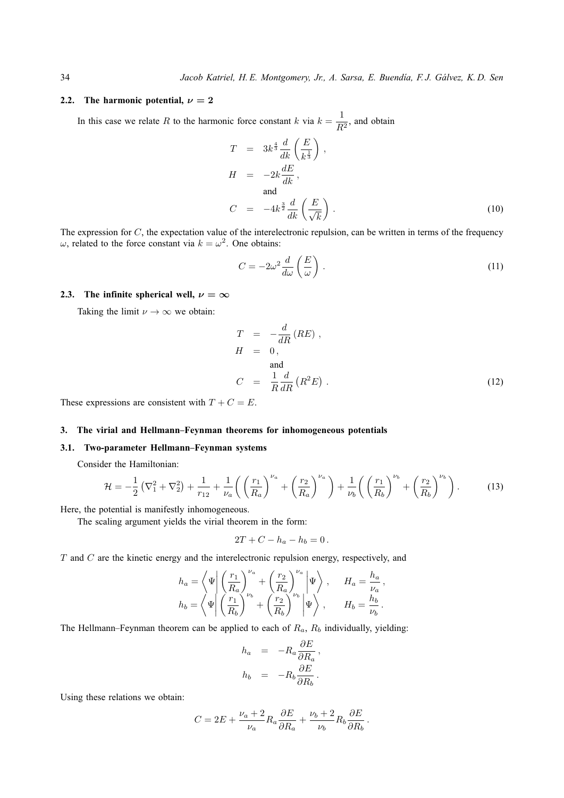### **2.2.** The harmonic potential,  $\nu = 2$

In this case we relate R to the harmonic force constant k via  $k = \frac{1}{R}$  $\frac{1}{R^2}$ , and obtain

$$
T = 3k^{\frac{4}{3}} \frac{d}{dk} \left(\frac{E}{k^{\frac{1}{3}}}\right),
$$
  
\n
$$
H = -2k \frac{dE}{dk},
$$
  
\nand  
\n
$$
C = -4k^{\frac{3}{2}} \frac{d}{dk} \left(\frac{E}{\sqrt{k}}\right).
$$
\n(10)

The expression for  $C$ , the expectation value of the interelectronic repulsion, can be written in terms of the frequency  $\omega$ , related to the force constant via  $k = \omega^2$ . One obtains:

$$
C = -2\omega^2 \frac{d}{d\omega} \left(\frac{E}{\omega}\right). \tag{11}
$$

### **2.3.** The infinite spherical well,  $\nu = \infty$

Taking the limit  $\nu \to \infty$  we obtain:

$$
T = -\frac{d}{dR} (RE) ,
$$
  
\n
$$
H = 0 ,
$$
  
\nand  
\n
$$
C = \frac{1}{R} \frac{d}{dR} (R^{2}E) .
$$
\n(12)

These expressions are consistent with  $T + C = E$ .

## **3. The virial and Hellmann–Feynman theorems for inhomogeneous potentials**

## **3.1. Two-parameter Hellmann–Feynman systems**

Consider the Hamiltonian:

$$
\mathcal{H} = -\frac{1}{2} \left( \nabla_1^2 + \nabla_2^2 \right) + \frac{1}{r_{12}} + \frac{1}{\nu_a} \left( \left( \frac{r_1}{R_a} \right)^{\nu_a} + \left( \frac{r_2}{R_a} \right)^{\nu_a} \right) + \frac{1}{\nu_b} \left( \left( \frac{r_1}{R_b} \right)^{\nu_b} + \left( \frac{r_2}{R_b} \right)^{\nu_b} \right). \tag{13}
$$

Here, the potential is manifestly inhomogeneous.

The scaling argument yields the virial theorem in the form:

$$
2T + C - h_a - h_b = 0.
$$

 $T$  and  $C$  are the kinetic energy and the interelectronic repulsion energy, respectively, and

$$
h_a = \left\langle \Psi \middle| \left( \frac{r_1}{R_a} \right)^{\nu_a} + \left( \frac{r_2}{R_a} \right)^{\nu_a} \middle| \Psi \right\rangle, \quad H_a = \frac{h_a}{\nu_a},
$$
  

$$
h_b = \left\langle \Psi \middle| \left( \frac{r_1}{R_b} \right)^{\nu_b} + \left( \frac{r_2}{R_b} \right)^{\nu_b} \middle| \Psi \right\rangle, \quad H_b = \frac{h_b}{\nu_b}.
$$

The Hellmann–Feynman theorem can be applied to each of  $R_a$ ,  $R_b$  individually, yielding:

$$
h_a = -R_a \frac{\partial E}{\partial R_a},
$$
  

$$
h_b = -R_b \frac{\partial E}{\partial R_b}.
$$

Using these relations we obtain:

$$
C = 2E + \frac{\nu_a + 2}{\nu_a} R_a \frac{\partial E}{\partial R_a} + \frac{\nu_b + 2}{\nu_b} R_b \frac{\partial E}{\partial R_b}.
$$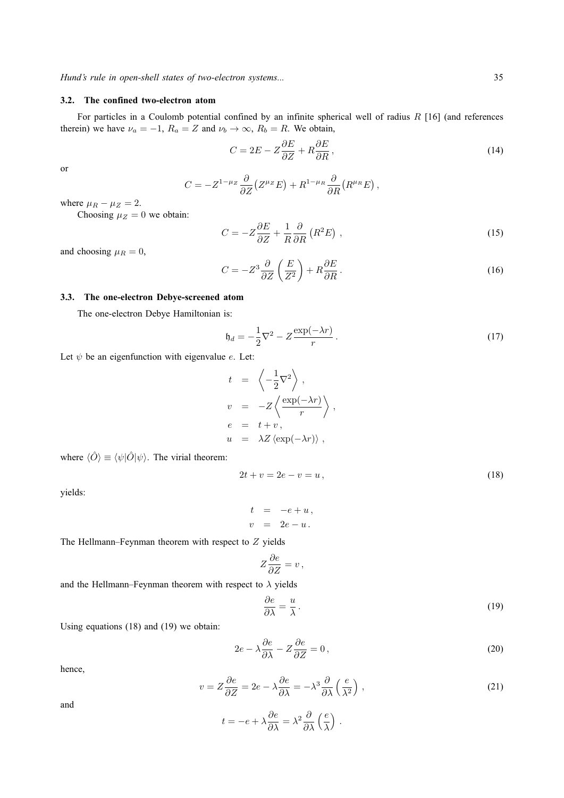### **3.2. The confined two-electron atom**

For particles in a Coulomb potential confined by an infinite spherical well of radius R [16] (and references therein) we have  $\nu_a = -1$ ,  $R_a = Z$  and  $\nu_b \rightarrow \infty$ ,  $R_b = R$ . We obtain,

$$
C = 2E - Z\frac{\partial E}{\partial Z} + R\frac{\partial E}{\partial R},\qquad(14)
$$

or

$$
C = -Z^{1-\mu z} \frac{\partial}{\partial Z} (Z^{\mu z} E) + R^{1-\mu_R} \frac{\partial}{\partial R} (R^{\mu_R} E) ,
$$

where  $\mu_R - \mu_Z = 2$ .

Choosing  $\mu_Z = 0$  we obtain:

$$
C = -Z\frac{\partial E}{\partial Z} + \frac{1}{R}\frac{\partial}{\partial R}\left(R^2 E\right),\tag{15}
$$

and choosing  $\mu_R = 0$ ,

$$
C = -Z^3 \frac{\partial}{\partial Z} \left( \frac{E}{Z^2} \right) + R \frac{\partial E}{\partial R}.
$$
\n(16)

### **3.3. The one-electron Debye-screened atom**

The one-electron Debye Hamiltonian is:

$$
\mathfrak{h}_d = -\frac{1}{2}\nabla^2 - Z\frac{\exp(-\lambda r)}{r} \,. \tag{17}
$$

Let  $\psi$  be an eigenfunction with eigenvalue e. Let:

$$
t = \left\langle -\frac{1}{2}\nabla^2 \right\rangle,
$$
  
\n
$$
v = -Z \left\langle \frac{\exp(-\lambda r)}{r} \right\rangle,
$$
  
\n
$$
e = t + v,
$$
  
\n
$$
u = \lambda Z \left\langle \exp(-\lambda r) \right\rangle,
$$

where  $\langle \hat{O} \rangle \equiv \langle \psi | \hat{O} | \psi \rangle$ . The virial theorem:

$$
2t + v = 2e - v = u, \t\t(18)
$$

yields:

$$
t = -e + u,
$$
  

$$
v = 2e - u.
$$

The Hellmann–Feynman theorem with respect to  $Z$  yields

$$
Z\frac{\partial e}{\partial Z} = v\,,
$$

and the Hellmann–Feynman theorem with respect to  $\lambda$  yields

$$
\frac{\partial e}{\partial \lambda} = \frac{u}{\lambda} \,. \tag{19}
$$

Using equations (18) and (19) we obtain:

$$
2e - \lambda \frac{\partial e}{\partial \lambda} - Z \frac{\partial e}{\partial Z} = 0, \qquad (20)
$$

hence,

$$
v = Z\frac{\partial e}{\partial Z} = 2e - \lambda \frac{\partial e}{\partial \lambda} = -\lambda^3 \frac{\partial}{\partial \lambda} \left(\frac{e}{\lambda^2}\right),\tag{21}
$$

and

$$
t = -e + \lambda \frac{\partial e}{\partial \lambda} = \lambda^2 \frac{\partial}{\partial \lambda} \left(\frac{e}{\lambda}\right) .
$$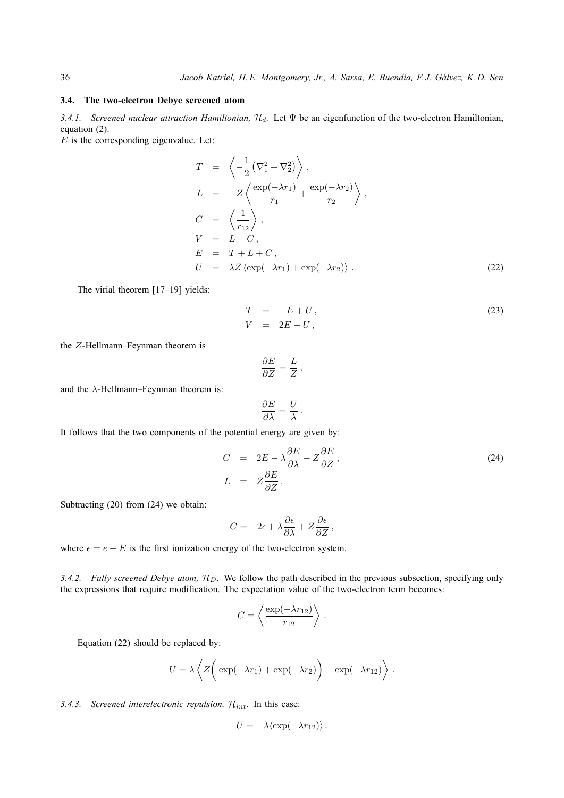#### **3.4. The two-electron Debye screened atom**

*3.4.1. Screened nuclear attraction Hamiltonian, H*<sub>d</sub>. Let Ψ be an eigenfunction of the two-electron Hamiltonian, equation (2).

 $E$  is the corresponding eigenvalue. Let:

$$
T = \left\langle -\frac{1}{2} \left( \nabla_1^2 + \nabla_2^2 \right) \right\rangle,
$$
  
\n
$$
L = -Z \left\langle \frac{\exp(-\lambda r_1)}{r_1} + \frac{\exp(-\lambda r_2)}{r_2} \right\rangle,
$$
  
\n
$$
C = \left\langle \frac{1}{r_{12}} \right\rangle,
$$
  
\n
$$
V = L + C,
$$
  
\n
$$
E = T + L + C,
$$
  
\n
$$
U = \lambda Z \left\langle \exp(-\lambda r_1) + \exp(-\lambda r_2) \right\rangle.
$$
\n(22)

The virial theorem [17–19] yields:

$$
T = -E + U,
$$
  
\n
$$
V = 2E - U,
$$
\n(23)

the Z-Hellmann–Feynman theorem is

$$
\frac{\partial E}{\partial Z} = \frac{L}{Z} \,,
$$

and the  $\lambda$ -Hellmann–Feynman theorem is:

$$
\frac{\partial E}{\partial \lambda} = \frac{U}{\lambda} \, .
$$

It follows that the two components of the potential energy are given by:

$$
C = 2E - \lambda \frac{\partial E}{\partial \lambda} - Z \frac{\partial E}{\partial Z},
$$
  
\n
$$
L = Z \frac{\partial E}{\partial Z}.
$$
\n(24)

Subtracting (20) from (24) we obtain:

$$
C = -2\epsilon + \lambda \frac{\partial \epsilon}{\partial \lambda} + Z \frac{\partial \epsilon}{\partial Z},
$$

where  $\epsilon = e - E$  is the first ionization energy of the two-electron system.

3.4.2. Fully screened Debye atom,  $H_D$ . We follow the path described in the previous subsection, specifying only the expressions that require modification. The expectation value of the two-electron term becomes:

$$
C = \left\langle \frac{\exp(-\lambda r_{12})}{r_{12}} \right\rangle.
$$

Equation (22) should be replaced by:

$$
U = \lambda \left\langle Z \left( \exp(-\lambda r_1) + \exp(-\lambda r_2) \right) - \exp(-\lambda r_{12}) \right\rangle.
$$

### 3.4.3. Screened interelectronic repulsion,  $\mathcal{H}_{int}$ . In this case:

$$
U = -\lambda \langle \exp(-\lambda r_{12}) \rangle.
$$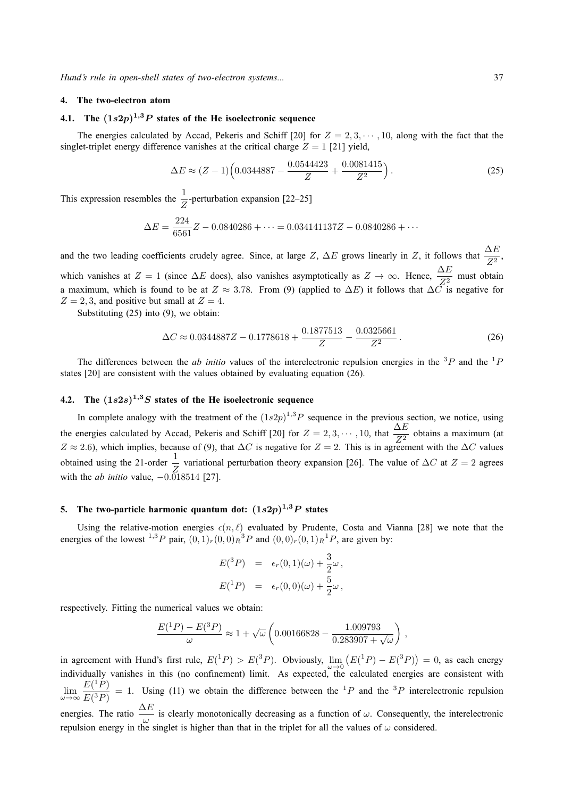#### **4. The two-electron atom**

# **4.1. The** (1s2p) <sup>1</sup>,3P **states of the He isoelectronic sequence**

The energies calculated by Accad, Pekeris and Schiff [20] for  $Z = 2, 3, \dots, 10$ , along with the fact that the singlet-triplet energy difference vanishes at the critical charge  $Z = 1$  [21] yield,

$$
\Delta E \approx (Z - 1) \left( 0.0344887 - \frac{0.0544423}{Z} + \frac{0.0081415}{Z^2} \right). \tag{25}
$$

This expression resembles the  $\frac{1}{Z}$ -perturbation expansion [22–25]

$$
\Delta E = \frac{224}{6561}Z - 0.0840286 + \dots = 0.034141137Z - 0.0840286 + \dots
$$

and the two leading coefficients crudely agree. Since, at large Z,  $\Delta E$  grows linearly in Z, it follows that  $\frac{\Delta E}{Z^2}$ , which vanishes at  $Z = 1$  (since  $\Delta E$  does), also vanishes asymptotically as  $Z \to \infty$ . Hence,  $\frac{\Delta E}{Z^2}$  $\frac{22}{Z^2}$  must obtain a maximum, which is found to be at  $Z \approx 3.78$ . From (9) (applied to  $\Delta E$ ) it follows that  $\Delta C$  is negative for  $Z = 2, 3$ , and positive but small at  $Z = 4$ .

Substituting (25) into (9), we obtain:

$$
\Delta C \approx 0.0344887Z - 0.1778618 + \frac{0.1877513}{Z} - \frac{0.0325661}{Z^2}.
$$
 (26)

The differences between the *ab initio* values of the interelectronic repulsion energies in the <sup>3</sup>P and the <sup>1</sup>P states [20] are consistent with the values obtained by evaluating equation (26).

# **4.2. The** (1s2s) <sup>1</sup>,3S **states of the He isoelectronic sequence**

In complete analogy with the treatment of the  $(1s2p)^{1,3}P$  sequence in the previous section, we notice, using the energies calculated by Accad, Pekeris and Schiff [20] for  $Z = 2, 3, \dots, 10$ , that  $\frac{\Delta E}{Z^2}$  obtains a maximum (at  $Z \approx 2.6$ ), which implies, because of (9), that  $\Delta C$  is negative for  $Z = 2$ . This is in agreement with the  $\Delta C$  values obtained using the 21-order  $\frac{1}{Z}$  variational perturbation theory expansion [26]. The value of ∆C at  $Z = 2$  agrees with the *ab initio* value,  $-0.\overline{0}18514$  [27].

# **5. The two-particle harmonic quantum dot:** (1s2p) <sup>1</sup>,3P **states**

Using the relative-motion energies  $\epsilon(n, \ell)$  evaluated by Prudente, Costa and Vianna [28] we note that the energies of the lowest <sup>1,3</sup>P pair,  $(0,1)_r(0,0)_R{}^3P$  and  $(0,0)_r(0,1)_R{}^1P$ , are given by:

$$
E(^{3}P) = \epsilon_{r}(0,1)(\omega) + \frac{3}{2}\omega,
$$
  

$$
E(^{1}P) = \epsilon_{r}(0,0)(\omega) + \frac{5}{2}\omega,
$$

respectively. Fitting the numerical values we obtain:

$$
\frac{E(^{1}P) - E(^{3}P)}{\omega} \approx 1 + \sqrt{\omega} \left( 0.00166828 - \frac{1.009793}{0.283907 + \sqrt{\omega}} \right),
$$

in agreement with Hund's first rule,  $E(^{1}P) > E(^{3}P)$ . Obviously,  $\lim_{\omega \to 0} (E(^{1}P) - E(^{3}P)) = 0$ , as each energy individually vanishes in this (no confinement) limit. As expected, the calculated energies are consistent with  $\lim_{\omega \to \infty} \frac{E(^1P)}{E(^3P)}$  $\frac{E(T)}{E(3P)} = 1$ . Using (11) we obtain the difference between the <sup>1</sup>P and the <sup>3</sup>P interelectronic repulsion energies. The ratio  $\frac{\Delta E}{\omega}$  is clearly monotonically decreasing as a function of  $\omega$ . Consequently, the interelectronic repulsion energy in the singlet is higher than that in the triplet for all the values of  $\omega$  considered.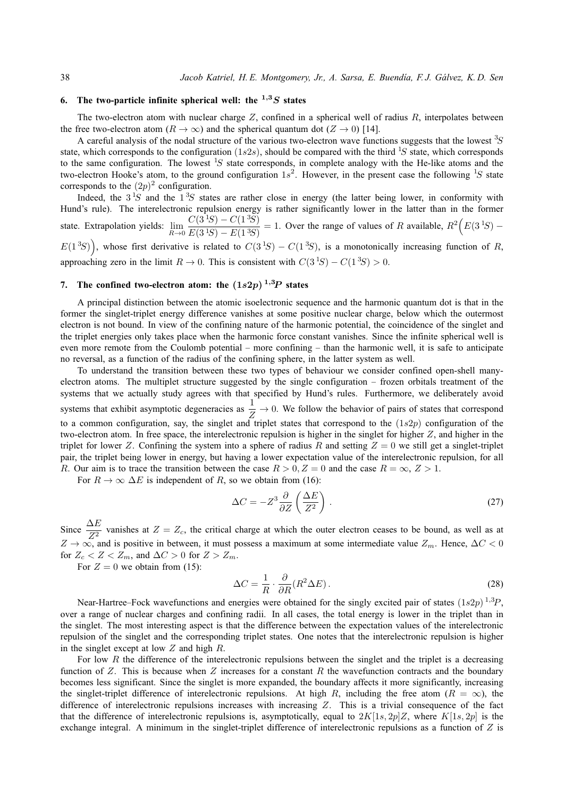# **6.** The two-particle infinite spherical well: the  $1.3S$  states

The two-electron atom with nuclear charge  $Z$ , confined in a spherical well of radius  $R$ , interpolates between the free two-electron atom ( $R \to \infty$ ) and the spherical quantum dot ( $Z \to 0$ ) [14].

A careful analysis of the nodal structure of the various two-electron wave functions suggests that the lowest  ${}^{3}S$ state, which corresponds to the configuration (1s2s), should be compared with the third <sup>1</sup>S state, which corresponds to the same configuration. The lowest <sup>1</sup>S state corresponds, in complete analogy with the He-like atoms and the two-electron Hooke's atom, to the ground configuration  $1s^2$ . However, in the present case the following  ${}^{1}S$  state corresponds to the  $(2p)^2$  configuration.

Indeed, the  $3<sup>1</sup>S$  and the  $1<sup>3</sup>S$  states are rather close in energy (the latter being lower, in conformity with Hund's rule). The interelectronic repulsion energy is rather significantly lower in the latter than in the former state. Extrapolation yields:  $\lim_{R\to 0}$  $C(3<sup>1</sup>S) - C(1<sup>3</sup>S)$  $\frac{C(3\cdot S) - C(1\cdot S)}{E(3\cdot S) - E(1\cdot S)} = 1$ . Over the range of values of R available,  $R^2(E(3\cdot S) - E(3\cdot S))$ 

 $E(1^3S)$ , whose first derivative is related to  $C(3^1S) - C(1^3S)$ , is a monotonically increasing function of R, approaching zero in the limit  $R \to 0$ . This is consistent with  $C(3^1S) - C(1^3S) > 0$ .

# 7. The confined two-electron atom: the  $(1s2p)^{1,3}P$  states

A principal distinction between the atomic isoelectronic sequence and the harmonic quantum dot is that in the former the singlet-triplet energy difference vanishes at some positive nuclear charge, below which the outermost electron is not bound. In view of the confining nature of the harmonic potential, the coincidence of the singlet and the triplet energies only takes place when the harmonic force constant vanishes. Since the infinite spherical well is even more remote from the Coulomb potential – more confining – than the harmonic well, it is safe to anticipate no reversal, as a function of the radius of the confining sphere, in the latter system as well.

To understand the transition between these two types of behaviour we consider confined open-shell manyelectron atoms. The multiplet structure suggested by the single configuration – frozen orbitals treatment of the systems that we actually study agrees with that specified by Hund's rules. Furthermore, we deliberately avoid systems that exhibit asymptotic degeneracies as  $\frac{1}{Z} \to 0$ . We follow the behavior of pairs of states that correspond to a common configuration, say, the singlet and triplet states that correspond to the  $(1s2p)$  configuration of the two-electron atom. In free space, the interelectronic repulsion is higher in the singlet for higher  $Z$ , and higher in the triplet for lower Z. Confining the system into a sphere of radius R and setting  $Z = 0$  we still get a singlet-triplet pair, the triplet being lower in energy, but having a lower expectation value of the interelectronic repulsion, for all R. Our aim is to trace the transition between the case  $R > 0, Z = 0$  and the case  $R = \infty, Z > 1$ .

For  $R \to \infty \Delta E$  is independent of R, so we obtain from (16):

$$
\Delta C = -Z^3 \frac{\partial}{\partial Z} \left( \frac{\Delta E}{Z^2} \right) . \tag{27}
$$

Since  $\frac{\Delta E}{Z^2}$  vanishes at  $Z = Z_c$ , the critical charge at which the outer electron ceases to be bound, as well as at  $Z \to \infty$ , and is positive in between, it must possess a maximum at some intermediate value  $Z_m$ . Hence,  $\Delta C < 0$ for  $Z_c < Z < Z_m$ , and  $\Delta C > 0$  for  $Z > Z_m$ .

For  $Z = 0$  we obtain from (15):

$$
\Delta C = \frac{1}{R} \cdot \frac{\partial}{\partial R} (R^2 \Delta E). \tag{28}
$$

Near-Hartree–Fock wavefunctions and energies were obtained for the singly excited pair of states  $(1s2p)^{1,3}P$ , over a range of nuclear charges and confining radii. In all cases, the total energy is lower in the triplet than in the singlet. The most interesting aspect is that the difference between the expectation values of the interelectronic repulsion of the singlet and the corresponding triplet states. One notes that the interelectronic repulsion is higher in the singlet except at low  $Z$  and high  $R$ .

For low R the difference of the interelectronic repulsions between the singlet and the triplet is a decreasing function of  $Z$ . This is because when  $Z$  increases for a constant  $R$  the wavefunction contracts and the boundary becomes less significant. Since the singlet is more expanded, the boundary affects it more significantly, increasing the singlet-triplet difference of interelectronic repulsions. At high R, including the free atom ( $R = \infty$ ), the difference of interelectronic repulsions increases with increasing  $Z$ . This is a trivial consequence of the fact that the difference of interelectronic repulsions is, asymptotically, equal to  $2K[1s, 2p]Z$ , where  $K[1s, 2p]$  is the exchange integral. A minimum in the singlet-triplet difference of interelectronic repulsions as a function of Z is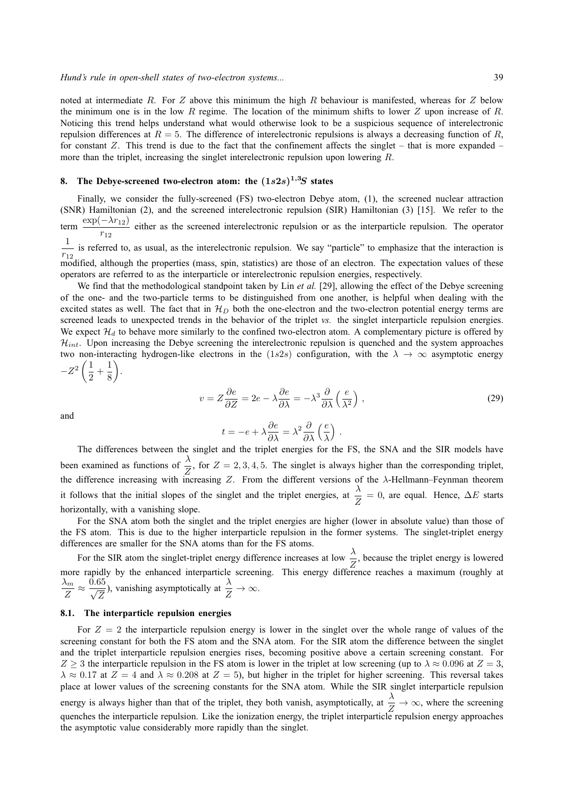noted at intermediate R. For Z above this minimum the high R behaviour is manifested, whereas for Z below the minimum one is in the low  $R$  regime. The location of the minimum shifts to lower  $Z$  upon increase of  $R$ . Noticing this trend helps understand what would otherwise look to be a suspicious sequence of interelectronic repulsion differences at  $R = 5$ . The difference of interelectronic repulsions is always a decreasing function of R, for constant  $Z$ . This trend is due to the fact that the confinement affects the singlet – that is more expanded – more than the triplet, increasing the singlet interelectronic repulsion upon lowering R.

# **8. The Debye-screened two-electron atom: the** (1s2s) <sup>1</sup>,3S **states**

Finally, we consider the fully-screened (FS) two-electron Debye atom, (1), the screened nuclear attraction (SNR) Hamiltonian (2), and the screened interelectronic repulsion (SIR) Hamiltonian (3) [15]. We refer to the term  $\frac{\exp(-\lambda r_{12})}{\exp(-\lambda r_{12})}$  $\frac{1}{r_{12}}$  either as the screened interelectronic repulsion or as the interparticle repulsion. The operator 1  $\frac{1}{r_{12}}$  is referred to, as usual, as the interelectronic repulsion. We say "particle" to emphasize that the interaction is modified, although the properties (mass, spin, statistics) are those of an electron. The expectation values of these operators are referred to as the interparticle or interelectronic repulsion energies, respectively.

We find that the methodological standpoint taken by Lin *et al.* [29], allowing the effect of the Debye screening of the one- and the two-particle terms to be distinguished from one another, is helpful when dealing with the excited states as well. The fact that in  $\mathcal{H}_D$  both the one-electron and the two-electron potential energy terms are screened leads to unexpected trends in the behavior of the triplet *vs.* the singlet interparticle repulsion energies. We expect  $\mathcal{H}_d$  to behave more similarly to the confined two-electron atom. A complementary picture is offered by  $\mathcal{H}_{int}$ . Upon increasing the Debye screening the interelectronic repulsion is quenched and the system approaches two non-interacting hydrogen-like electrons in the (1s2s) configuration, with the  $\lambda \to \infty$  asymptotic energy  $-Z^2\left(\frac{1}{2}\right)$  $\frac{1}{2} + \frac{1}{8}$ 8 .

and

$$
v = Z\frac{\partial e}{\partial Z} = 2e - \lambda \frac{\partial e}{\partial \lambda} = -\lambda^3 \frac{\partial}{\partial \lambda} \left(\frac{e}{\lambda^2}\right),\tag{29}
$$

$$
t=-e+\lambda\frac{\partial e}{\partial \lambda}=\lambda^2\frac{\partial}{\partial \lambda}\left(\frac{e}{\lambda}\right)\,.
$$

The differences between the singlet and the triplet energies for the FS, the SNA and the SIR models have been examined as functions of  $\frac{\lambda}{Z}$ , for  $Z = 2, 3, 4, 5$ . The singlet is always higher than the corresponding triplet, the difference increasing with increasing  $Z$ . From the different versions of the  $\lambda$ -Hellmann–Feynman theorem it follows that the initial slopes of the singlet and the triplet energies, at  $\frac{\lambda}{Z} = 0$ , are equal. Hence,  $\Delta E$  starts horizontally, with a vanishing slope.

For the SNA atom both the singlet and the triplet energies are higher (lower in absolute value) than those of the FS atom. This is due to the higher interparticle repulsion in the former systems. The singlet-triplet energy differences are smaller for the SNA atoms than for the FS atoms.

For the SIR atom the singlet-triplet energy difference increases at low  $\frac{\lambda}{Z}$ , because the triplet energy is lowered more rapidly by the enhanced interparticle screening. This energy difference reaches a maximum (roughly at  $\lambda_m$  $\frac{\lambda_m}{Z} \approx \frac{\bar{0.65}}{\sqrt{Z}}$ Z ), vanishing asymptotically at  $\frac{\lambda}{Z} \to \infty$ .

### **8.1. The interparticle repulsion energies**

For  $Z = 2$  the interparticle repulsion energy is lower in the singlet over the whole range of values of the screening constant for both the FS atom and the SNA atom. For the SIR atom the difference between the singlet and the triplet interparticle repulsion energies rises, becoming positive above a certain screening constant. For  $Z \ge 3$  the interparticle repulsion in the FS atom is lower in the triplet at low screening (up to  $\lambda \approx 0.096$  at  $Z = 3$ ,  $\lambda \approx 0.17$  at  $Z = 4$  and  $\lambda \approx 0.208$  at  $Z = 5$ ), but higher in the triplet for higher screening. This reversal takes place at lower values of the screening constants for the SNA atom. While the SIR singlet interparticle repulsion energy is always higher than that of the triplet, they both vanish, asymptotically, at  $\frac{\lambda}{Z} \to \infty$ , where the screening

quenches the interparticle repulsion. Like the ionization energy, the triplet interparticle repulsion energy approaches the asymptotic value considerably more rapidly than the singlet.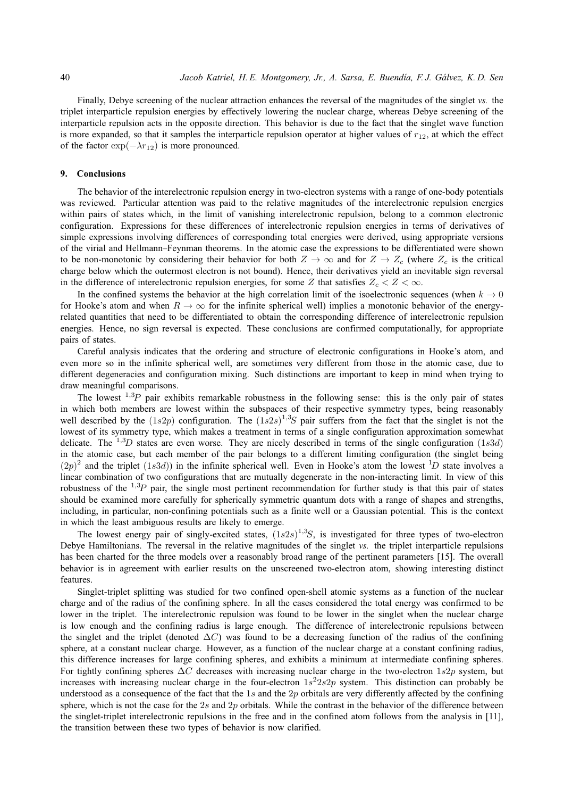Finally, Debye screening of the nuclear attraction enhances the reversal of the magnitudes of the singlet *vs.* the triplet interparticle repulsion energies by effectively lowering the nuclear charge, whereas Debye screening of the interparticle repulsion acts in the opposite direction. This behavior is due to the fact that the singlet wave function is more expanded, so that it samples the interparticle repulsion operator at higher values of  $r_{12}$ , at which the effect of the factor  $\exp(-\lambda r_{12})$  is more pronounced.

### **9. Conclusions**

The behavior of the interelectronic repulsion energy in two-electron systems with a range of one-body potentials was reviewed. Particular attention was paid to the relative magnitudes of the interelectronic repulsion energies within pairs of states which, in the limit of vanishing interelectronic repulsion, belong to a common electronic configuration. Expressions for these differences of interelectronic repulsion energies in terms of derivatives of simple expressions involving differences of corresponding total energies were derived, using appropriate versions of the virial and Hellmann–Feynman theorems. In the atomic case the expressions to be differentiated were shown to be non-monotonic by considering their behavior for both  $Z \to \infty$  and for  $Z \to Z_c$  (where  $Z_c$  is the critical charge below which the outermost electron is not bound). Hence, their derivatives yield an inevitable sign reversal in the difference of interelectronic repulsion energies, for some Z that satisfies  $Z_c < Z < \infty$ .

In the confined systems the behavior at the high correlation limit of the isoelectronic sequences (when  $k \to 0$ for Hooke's atom and when  $R \to \infty$  for the infinite spherical well) implies a monotonic behavior of the energyrelated quantities that need to be differentiated to obtain the corresponding difference of interelectronic repulsion energies. Hence, no sign reversal is expected. These conclusions are confirmed computationally, for appropriate pairs of states.

Careful analysis indicates that the ordering and structure of electronic configurations in Hooke's atom, and even more so in the infinite spherical well, are sometimes very different from those in the atomic case, due to different degeneracies and configuration mixing. Such distinctions are important to keep in mind when trying to draw meaningful comparisons.

The lowest  $^{1,3}P$  pair exhibits remarkable robustness in the following sense: this is the only pair of states in which both members are lowest within the subspaces of their respective symmetry types, being reasonably well described by the  $(1s2p)$  configuration. The  $(1s2s)^{1,3}S$  pair suffers from the fact that the singlet is not the lowest of its symmetry type, which makes a treatment in terms of a single configuration approximation somewhat delicate. The  $^{1,3}D$  states are even worse. They are nicely described in terms of the single configuration (1s3d) in the atomic case, but each member of the pair belongs to a different limiting configuration (the singlet being  $(2p)^2$  and the triplet  $(1s3d)$ ) in the infinite spherical well. Even in Hooke's atom the lowest <sup>1</sup>D state involves a linear combination of two configurations that are mutually degenerate in the non-interacting limit. In view of this robustness of the  $^{1,3}P$  pair, the single most pertinent recommendation for further study is that this pair of states should be examined more carefully for spherically symmetric quantum dots with a range of shapes and strengths, including, in particular, non-confining potentials such as a finite well or a Gaussian potential. This is the context in which the least ambiguous results are likely to emerge.

The lowest energy pair of singly-excited states,  $(1s2s)^{1,3}S$ , is investigated for three types of two-electron Debye Hamiltonians. The reversal in the relative magnitudes of the singlet *vs.* the triplet interparticle repulsions has been charted for the three models over a reasonably broad range of the pertinent parameters [15]. The overall behavior is in agreement with earlier results on the unscreened two-electron atom, showing interesting distinct features.

Singlet-triplet splitting was studied for two confined open-shell atomic systems as a function of the nuclear charge and of the radius of the confining sphere. In all the cases considered the total energy was confirmed to be lower in the triplet. The interelectronic repulsion was found to be lower in the singlet when the nuclear charge is low enough and the confining radius is large enough. The difference of interelectronic repulsions between the singlet and the triplet (denoted  $\Delta C$ ) was found to be a decreasing function of the radius of the confining sphere, at a constant nuclear charge. However, as a function of the nuclear charge at a constant confining radius, this difference increases for large confining spheres, and exhibits a minimum at intermediate confining spheres. For tightly confining spheres ∆C decreases with increasing nuclear charge in the two-electron 1s2p system, but increases with increasing nuclear charge in the four-electron  $1s^2 2s2p$  system. This distinction can probably be understood as a consequence of the fact that the 1s and the  $2p$  orbitals are very differently affected by the confining sphere, which is not the case for the 2s and 2p orbitals. While the contrast in the behavior of the difference between the singlet-triplet interelectronic repulsions in the free and in the confined atom follows from the analysis in [11], the transition between these two types of behavior is now clarified.